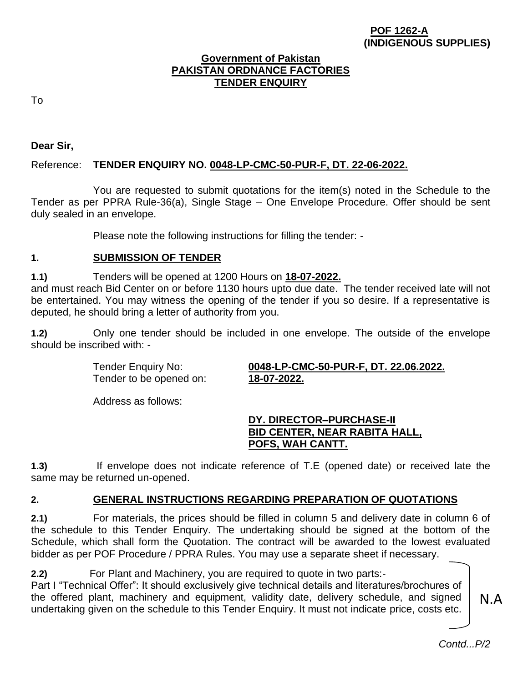#### **POF 1262-A (INDIGENOUS SUPPLIES)**

### **Government of Pakistan PAKISTAN ORDNANCE FACTORIES TENDER ENQUIRY**

To

**Dear Sir,**

# Reference: **TENDER ENQUIRY NO. 0048-LP-CMC-50-PUR-F, DT. 22-06-2022.**

You are requested to submit quotations for the item(s) noted in the Schedule to the Tender as per PPRA Rule-36(a), Single Stage – One Envelope Procedure. Offer should be sent duly sealed in an envelope.

Please note the following instructions for filling the tender: -

# **1. SUBMISSION OF TENDER**

**1.1)** Tenders will be opened at 1200 Hours on **18-07-2022.**

and must reach Bid Center on or before 1130 hours upto due date. The tender received late will not be entertained. You may witness the opening of the tender if you so desire. If a representative is deputed, he should bring a letter of authority from you.

**1.2)** Only one tender should be included in one envelope. The outside of the envelope should be inscribed with: -

Tender to be opened on: **18-07-2022.**

Tender Enquiry No: **0048-LP-CMC-50-PUR-F, DT. 22.06.2022.**

Address as follows:

# **DY. DIRECTOR–PURCHASE-II BID CENTER, NEAR RABITA HALL, POFS, WAH CANTT.**

**1.3)** If envelope does not indicate reference of T.E (opened date) or received late the same may be returned un-opened.

# **2. GENERAL INSTRUCTIONS REGARDING PREPARATION OF QUOTATIONS**

**2.1)** For materials, the prices should be filled in column 5 and delivery date in column 6 of the schedule to this Tender Enquiry. The undertaking should be signed at the bottom of the Schedule, which shall form the Quotation. The contract will be awarded to the lowest evaluated bidder as per POF Procedure / PPRA Rules. You may use a separate sheet if necessary.

**2.2)** For Plant and Machinery, you are required to quote in two parts:- Part I "Technical Offer": It should exclusively give technical details and literatures/brochures of the offered plant, machinery and equipment, validity date, delivery schedule, and signed undertaking given on the schedule to this Tender Enquiry. It must not indicate price, costs etc.

N.A

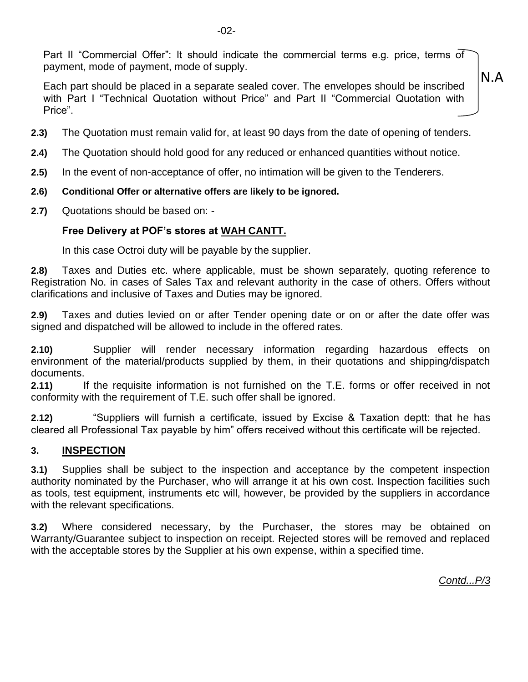Part II "Commercial Offer": It should indicate the commercial terms e.g. price, terms of payment, mode of payment, mode of supply.

Each part should be placed in a separate sealed cover. The envelopes should be inscribed with Part I "Technical Quotation without Price" and Part II "Commercial Quotation with Price".

- **2.3)** The Quotation must remain valid for, at least 90 days from the date of opening of tenders.
- **2.4)** The Quotation should hold good for any reduced or enhanced quantities without notice.
- **2.5)** In the event of non-acceptance of offer, no intimation will be given to the Tenderers.
- **2.6) Conditional Offer or alternative offers are likely to be ignored.**
- **2.7)** Quotations should be based on: -

## **Free Delivery at POF's stores at WAH CANTT.**

In this case Octroi duty will be payable by the supplier.

**2.8)** Taxes and Duties etc. where applicable, must be shown separately, quoting reference to Registration No. in cases of Sales Tax and relevant authority in the case of others. Offers without clarifications and inclusive of Taxes and Duties may be ignored.

**2.9)** Taxes and duties levied on or after Tender opening date or on or after the date offer was signed and dispatched will be allowed to include in the offered rates.

**2.10)** Supplier will render necessary information regarding hazardous effects on environment of the material/products supplied by them, in their quotations and shipping/dispatch documents.

**2.11)** If the requisite information is not furnished on the T.E. forms or offer received in not conformity with the requirement of T.E. such offer shall be ignored.

**2.12)** "Suppliers will furnish a certificate, issued by Excise & Taxation deptt: that he has cleared all Professional Tax payable by him" offers received without this certificate will be rejected.

### **3. INSPECTION**

**3.1)** Supplies shall be subject to the inspection and acceptance by the competent inspection authority nominated by the Purchaser, who will arrange it at his own cost. Inspection facilities such as tools, test equipment, instruments etc will, however, be provided by the suppliers in accordance with the relevant specifications.

**3.2)** Where considered necessary, by the Purchaser, the stores may be obtained on Warranty/Guarantee subject to inspection on receipt. Rejected stores will be removed and replaced with the acceptable stores by the Supplier at his own expense, within a specified time.

*Contd...P/3*

N.A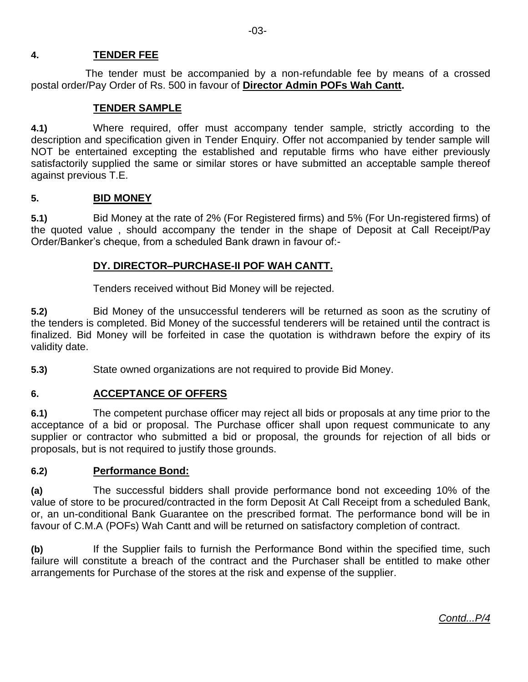## **4. TENDER FEE**

The tender must be accompanied by a non-refundable fee by means of a crossed postal order/Pay Order of Rs. 500 in favour of **Director Admin POFs Wah Cantt.** 

## **TENDER SAMPLE**

**4.1)** Where required, offer must accompany tender sample, strictly according to the description and specification given in Tender Enquiry. Offer not accompanied by tender sample will NOT be entertained excepting the established and reputable firms who have either previously satisfactorily supplied the same or similar stores or have submitted an acceptable sample thereof against previous T.E.

### **5. BID MONEY**

**5.1)** Bid Money at the rate of 2% (For Registered firms) and 5% (For Un-registered firms) of the quoted value , should accompany the tender in the shape of Deposit at Call Receipt/Pay Order/Banker's cheque, from a scheduled Bank drawn in favour of:-

## **DY. DIRECTOR–PURCHASE-II POF WAH CANTT.**

Tenders received without Bid Money will be rejected.

**5.2)** Bid Money of the unsuccessful tenderers will be returned as soon as the scrutiny of the tenders is completed. Bid Money of the successful tenderers will be retained until the contract is finalized. Bid Money will be forfeited in case the quotation is withdrawn before the expiry of its validity date.

**5.3)** State owned organizations are not required to provide Bid Money.

# **6. ACCEPTANCE OF OFFERS**

**6.1)** The competent purchase officer may reject all bids or proposals at any time prior to the acceptance of a bid or proposal. The Purchase officer shall upon request communicate to any supplier or contractor who submitted a bid or proposal, the grounds for rejection of all bids or proposals, but is not required to justify those grounds.

### **6.2) Performance Bond:**

**(a)** The successful bidders shall provide performance bond not exceeding 10% of the value of store to be procured/contracted in the form Deposit At Call Receipt from a scheduled Bank, or, an un-conditional Bank Guarantee on the prescribed format. The performance bond will be in favour of C.M.A (POFs) Wah Cantt and will be returned on satisfactory completion of contract.

**(b)** If the Supplier fails to furnish the Performance Bond within the specified time, such failure will constitute a breach of the contract and the Purchaser shall be entitled to make other arrangements for Purchase of the stores at the risk and expense of the supplier.

*Contd...P/4*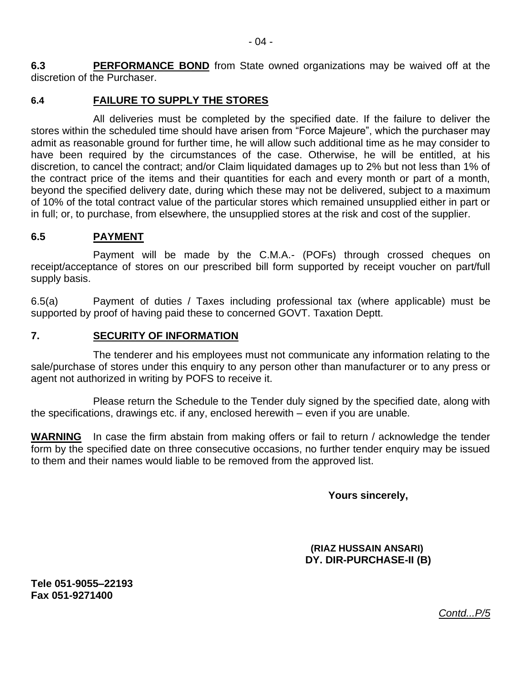**6.3** PERFORMANCE BOND from State owned organizations may be waived off at the discretion of the Purchaser.

#### **6.4 FAILURE TO SUPPLY THE STORES**

All deliveries must be completed by the specified date. If the failure to deliver the stores within the scheduled time should have arisen from "Force Majeure", which the purchaser may admit as reasonable ground for further time, he will allow such additional time as he may consider to have been required by the circumstances of the case. Otherwise, he will be entitled, at his discretion, to cancel the contract; and/or Claim liquidated damages up to 2% but not less than 1% of the contract price of the items and their quantities for each and every month or part of a month, beyond the specified delivery date, during which these may not be delivered, subject to a maximum of 10% of the total contract value of the particular stores which remained unsupplied either in part or in full; or, to purchase, from elsewhere, the unsupplied stores at the risk and cost of the supplier.

### **6.5 PAYMENT**

Payment will be made by the C.M.A.- (POFs) through crossed cheques on receipt/acceptance of stores on our prescribed bill form supported by receipt voucher on part/full supply basis.

6.5(a) Payment of duties / Taxes including professional tax (where applicable) must be supported by proof of having paid these to concerned GOVT. Taxation Deptt.

#### **7. SECURITY OF INFORMATION**

The tenderer and his employees must not communicate any information relating to the sale/purchase of stores under this enquiry to any person other than manufacturer or to any press or agent not authorized in writing by POFS to receive it.

Please return the Schedule to the Tender duly signed by the specified date, along with the specifications, drawings etc. if any, enclosed herewith – even if you are unable.

**WARNING** In case the firm abstain from making offers or fail to return / acknowledge the tender form by the specified date on three consecutive occasions, no further tender enquiry may be issued to them and their names would liable to be removed from the approved list.

 **Yours sincerely,**

 **(RIAZ HUSSAIN ANSARI) DY. DIR-PURCHASE-II (B)**

**Tele 051-9055–22193 Fax 051-9271400**

*Contd...P/5*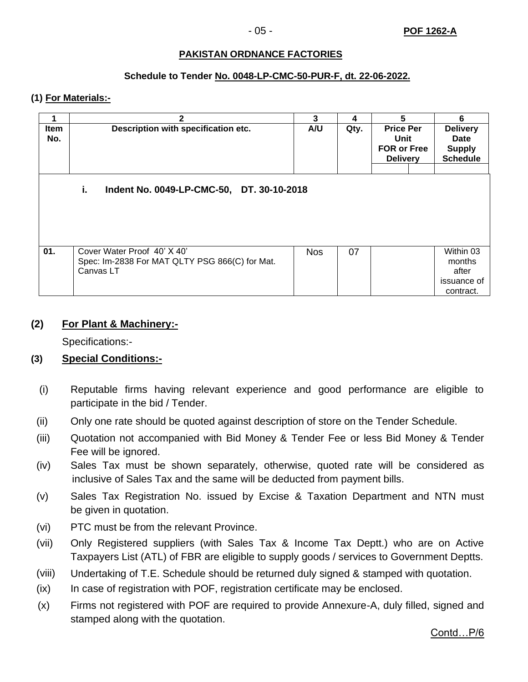#### **PAKISTAN ORDNANCE FACTORIES**

#### **Schedule to Tender No. 0048-LP-CMC-50-PUR-F, dt. 22-06-2022.**

#### **(1) For Materials:-**

|                                                 | $\mathbf{2}$                                                                               | 3          | 4    | 5                                                                 | 6                                                           |  |  |  |
|-------------------------------------------------|--------------------------------------------------------------------------------------------|------------|------|-------------------------------------------------------------------|-------------------------------------------------------------|--|--|--|
| <b>Item</b><br>No.                              | Description with specification etc.                                                        | A/U        | Qty. | <b>Price Per</b><br>Unit<br><b>FOR or Free</b><br><b>Delivery</b> | <b>Delivery</b><br>Date<br><b>Supply</b><br><b>Schedule</b> |  |  |  |
| i.<br>Indent No. 0049-LP-CMC-50, DT. 30-10-2018 |                                                                                            |            |      |                                                                   |                                                             |  |  |  |
| 01.                                             | Cover Water Proof 40' X 40'<br>Spec: Im-2838 For MAT QLTY PSG 866(C) for Mat.<br>Canvas LT | <b>Nos</b> | 07   |                                                                   | Within 03<br>months<br>after<br>issuance of<br>contract.    |  |  |  |

#### **(2) For Plant & Machinery:-**

Specifications:-

### **(3) Special Conditions:-**

- (i) Reputable firms having relevant experience and good performance are eligible to participate in the bid / Tender.
- (ii) Only one rate should be quoted against description of store on the Tender Schedule.
- (iii) Quotation not accompanied with Bid Money & Tender Fee or less Bid Money & Tender Fee will be ignored.
- (iv) Sales Tax must be shown separately, otherwise, quoted rate will be considered as inclusive of Sales Tax and the same will be deducted from payment bills.
- (v) Sales Tax Registration No. issued by Excise & Taxation Department and NTN must be given in quotation.
- (vi) PTC must be from the relevant Province.
- (vii) Only Registered suppliers (with Sales Tax & Income Tax Deptt.) who are on Active Taxpayers List (ATL) of FBR are eligible to supply goods / services to Government Deptts.
- (viii) Undertaking of T.E. Schedule should be returned duly signed & stamped with quotation.
- (ix) In case of registration with POF, registration certificate may be enclosed.
- (x) Firms not registered with POF are required to provide Annexure-A, duly filled, signed and stamped along with the quotation.

Contd…P/6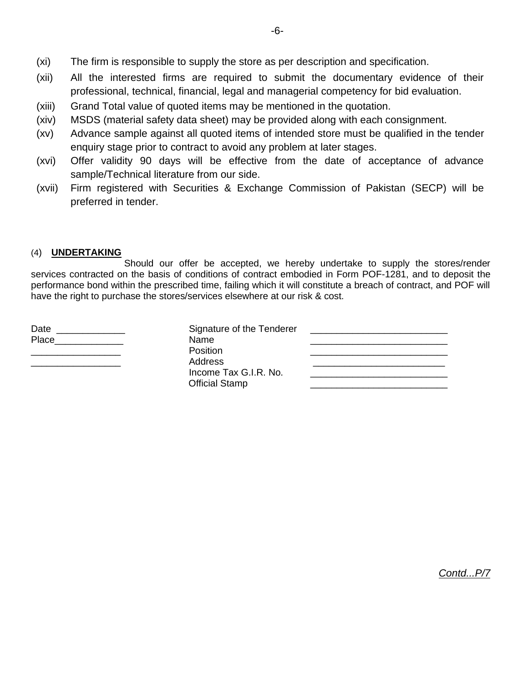- (xi) The firm is responsible to supply the store as per description and specification.
- (xii) All the interested firms are required to submit the documentary evidence of their professional, technical, financial, legal and managerial competency for bid evaluation.
- (xiii) Grand Total value of quoted items may be mentioned in the quotation.
- (xiv) MSDS (material safety data sheet) may be provided along with each consignment.
- (xv) Advance sample against all quoted items of intended store must be qualified in the tender enquiry stage prior to contract to avoid any problem at later stages.
- (xvi) Offer validity 90 days will be effective from the date of acceptance of advance sample/Technical literature from our side.
- (xvii) Firm registered with Securities & Exchange Commission of Pakistan (SECP) will be preferred in tender.

#### (4) **UNDERTAKING**

 Should our offer be accepted, we hereby undertake to supply the stores/render services contracted on the basis of conditions of contract embodied in Form POF-1281, and to deposit the performance bond within the prescribed time, failing which it will constitute a breach of contract, and POF will have the right to purchase the stores/services elsewhere at our risk & cost.

| Date<br>Place | Signature of the Tenderer<br>Name                   |  |
|---------------|-----------------------------------------------------|--|
|               | <b>Position</b><br>Address<br>Income Tax G.I.R. No. |  |
|               | <b>Official Stamp</b>                               |  |

*Contd...P/7*